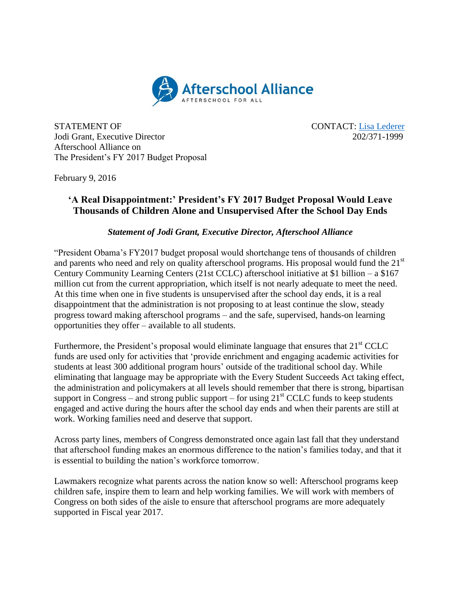

STATEMENT OF CONTACT: [Lisa Lederer](mailto:lisa@prsolutionsdc.com) Jodi Grant, Executive Director 202/371-1999 Afterschool Alliance on The President's FY 2017 Budget Proposal

February 9, 2016

## **'A Real Disappointment:' President's FY 2017 Budget Proposal Would Leave Thousands of Children Alone and Unsupervised After the School Day Ends**

## *Statement of Jodi Grant, Executive Director, Afterschool Alliance*

"President Obama's FY2017 budget proposal would shortchange tens of thousands of children and parents who need and rely on quality afterschool programs. His proposal would fund the  $21<sup>st</sup>$ Century Community Learning Centers (21st CCLC) afterschool initiative at \$1 billion – a \$167 million cut from the current appropriation, which itself is not nearly adequate to meet the need. At this time when one in five students is unsupervised after the school day ends, it is a real disappointment that the administration is not proposing to at least continue the slow, steady progress toward making afterschool programs – and the safe, supervised, hands-on learning opportunities they offer – available to all students.

Furthermore, the President's proposal would eliminate language that ensures that  $21<sup>st</sup> CCLC$ funds are used only for activities that 'provide enrichment and engaging academic activities for students at least 300 additional program hours' outside of the traditional school day. While eliminating that language may be appropriate with the Every Student Succeeds Act taking effect, the administration and policymakers at all levels should remember that there is strong, bipartisan support in Congress – and strong public support – for using  $21<sup>st</sup> CCLC$  funds to keep students engaged and active during the hours after the school day ends and when their parents are still at work. Working families need and deserve that support.

Across party lines, members of Congress demonstrated once again last fall that they understand that afterschool funding makes an enormous difference to the nation's families today, and that it is essential to building the nation's workforce tomorrow.

Lawmakers recognize what parents across the nation know so well: Afterschool programs keep children safe, inspire them to learn and help working families. We will work with members of Congress on both sides of the aisle to ensure that afterschool programs are more adequately supported in Fiscal year 2017.